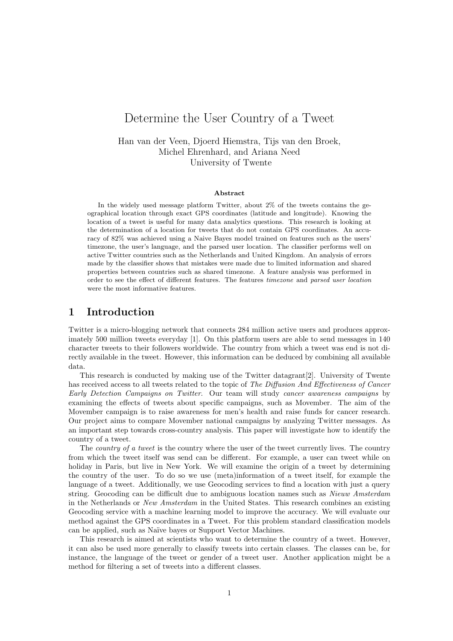# Determine the User Country of a Tweet

Han van der Veen, Djoerd Hiemstra, Tijs van den Broek, Michel Ehrenhard, and Ariana Need University of Twente

#### Abstract

In the widely used message platform Twitter, about 2% of the tweets contains the geographical location through exact GPS coordinates (latitude and longitude). Knowing the location of a tweet is useful for many data analytics questions. This research is looking at the determination of a location for tweets that do not contain GPS coordinates. An accuracy of 82% was achieved using a Naive Bayes model trained on features such as the users' timezone, the user's language, and the parsed user location. The classifier performs well on active Twitter countries such as the Netherlands and United Kingdom. An analysis of errors made by the classifier shows that mistakes were made due to limited information and shared properties between countries such as shared timezone. A feature analysis was performed in order to see the effect of different features. The features timezone and parsed user location were the most informative features.

### 1 Introduction

Twitter is a micro-blogging network that connects 284 million active users and produces approximately 500 million tweets everyday [1]. On this platform users are able to send messages in 140 character tweets to their followers worldwide. The country from which a tweet was end is not directly available in the tweet. However, this information can be deduced by combining all available data.

This research is conducted by making use of the Twitter datagrant[2]. University of Twente has received access to all tweets related to the topic of The Diffusion And Effectiveness of Cancer Early Detection Campaigns on Twitter. Our team will study cancer awareness campaigns by examining the effects of tweets about specific campaigns, such as Movember. The aim of the Movember campaign is to raise awareness for men's health and raise funds for cancer research. Our project aims to compare Movember national campaigns by analyzing Twitter messages. As an important step towards cross-country analysis. This paper will investigate how to identify the country of a tweet.

The *country of a tweet* is the country where the user of the tweet currently lives. The country from which the tweet itself was send can be different. For example, a user can tweet while on holiday in Paris, but live in New York. We will examine the origin of a tweet by determining the country of the user. To do so we use (meta)information of a tweet itself, for example the language of a tweet. Additionally, we use Geocoding services to find a location with just a query string. Geocoding can be difficult due to ambiguous location names such as Nieuw Amsterdam in the Netherlands or New Amsterdam in the United States. This research combines an existing Geocoding service with a machine learning model to improve the accuracy. We will evaluate our method against the GPS coordinates in a Tweet. For this problem standard classification models can be applied, such as Na¨ıve bayes or Support Vector Machines.

This research is aimed at scientists who want to determine the country of a tweet. However, it can also be used more generally to classify tweets into certain classes. The classes can be, for instance, the language of the tweet or gender of a tweet user. Another application might be a method for filtering a set of tweets into a different classes.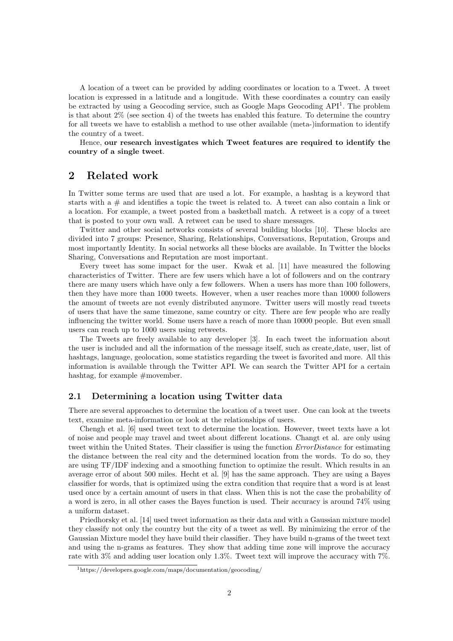A location of a tweet can be provided by adding coordinates or location to a Tweet. A tweet location is expressed in a latitude and a longitude. With these coordinates a country can easily be extracted by using a Geocoding service, such as Google Maps Geocoding API<sup>1</sup>. The problem is that about 2% (see section 4) of the tweets has enabled this feature. To determine the country for all tweets we have to establish a method to use other available (meta-)information to identify the country of a tweet.

Hence, our research investigates which Tweet features are required to identify the country of a single tweet.

### 2 Related work

In Twitter some terms are used that are used a lot. For example, a hashtag is a keyword that starts with a  $\#$  and identifies a topic the tweet is related to. A tweet can also contain a link or a location. For example, a tweet posted from a basketball match. A retweet is a copy of a tweet that is posted to your own wall. A retweet can be used to share messages.

Twitter and other social networks consists of several building blocks [10]. These blocks are divided into 7 groups: Presence, Sharing, Relationships, Conversations, Reputation, Groups and most importantly Identity. In social networks all these blocks are available. In Twitter the blocks Sharing, Conversations and Reputation are most important.

Every tweet has some impact for the user. Kwak et al. [11] have measured the following characteristics of Twitter. There are few users which have a lot of followers and on the contrary there are many users which have only a few followers. When a users has more than 100 followers, then they have more than 1000 tweets. However, when a user reaches more than 10000 followers the amount of tweets are not evenly distributed anymore. Twitter users will mostly read tweets of users that have the same timezone, same country or city. There are few people who are really influencing the twitter world. Some users have a reach of more than 10000 people. But even small users can reach up to 1000 users using retweets.

The Tweets are freely available to any developer [3]. In each tweet the information about the user is included and all the information of the message itself, such as create date, user, list of hashtags, language, geolocation, some statistics regarding the tweet is favorited and more. All this information is available through the Twitter API. We can search the Twitter API for a certain hashtag, for example  $#$ movember.

#### 2.1 Determining a location using Twitter data

There are several approaches to determine the location of a tweet user. One can look at the tweets text, examine meta-information or look at the relationships of users.

Chengh et al. [6] used tweet text to determine the location. However, tweet texts have a lot of noise and people may travel and tweet about different locations. Changt et al. are only using tweet within the United States. Their classifier is using the function ErrorDistance for estimating the distance between the real city and the determined location from the words. To do so, they are using TF/IDF indexing and a smoothing function to optimize the result. Which results in an average error of about 500 miles. Hecht et al. [9] has the same approach. They are using a Bayes classifier for words, that is optimized using the extra condition that require that a word is at least used once by a certain amount of users in that class. When this is not the case the probability of a word is zero, in all other cases the Bayes function is used. Their accuracy is around 74% using a uniform dataset.

Priedhorsky et al. [14] used tweet information as their data and with a Gaussian mixture model they classify not only the country but the city of a tweet as well. By minimizing the error of the Gaussian Mixture model they have build their classifier. They have build n-grams of the tweet text and using the n-grams as features. They show that adding time zone will improve the accuracy rate with 3% and adding user location only 1.3%. Tweet text will improve the accuracy with 7%.

<sup>1</sup>https://developers.google.com/maps/documentation/geocoding/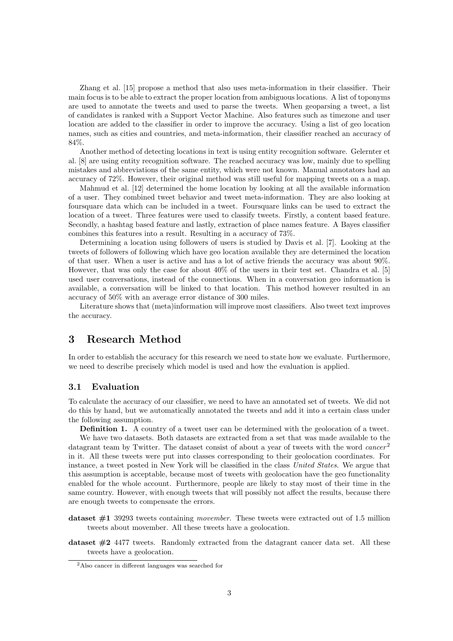Zhang et al. [15] propose a method that also uses meta-information in their classifier. Their main focus is to be able to extract the proper location from ambiguous locations. A list of toponyms are used to annotate the tweets and used to parse the tweets. When geoparsing a tweet, a list of candidates is ranked with a Support Vector Machine. Also features such as timezone and user location are added to the classifier in order to improve the accuracy. Using a list of geo location names, such as cities and countries, and meta-information, their classifier reached an accuracy of 84%.

Another method of detecting locations in text is using entity recognition software. Gelernter et al. [8] are using entity recognition software. The reached accuracy was low, mainly due to spelling mistakes and abbreviations of the same entity, which were not known. Manual annotators had an accuracy of 72%. However, their original method was still useful for mapping tweets on a a map.

Mahmud et al. [12] determined the home location by looking at all the available information of a user. They combined tweet behavior and tweet meta-information. They are also looking at foursquare data which can be included in a tweet. Foursquare links can be used to extract the location of a tweet. Three features were used to classify tweets. Firstly, a content based feature. Secondly, a hashtag based feature and lastly, extraction of place names feature. A Bayes classifier combines this features into a result. Resulting in a accuracy of 73%.

Determining a location using followers of users is studied by Davis et al. [7]. Looking at the tweets of followers of following which have geo location available they are determined the location of that user. When a user is active and has a lot of active friends the accuracy was about 90%. However, that was only the case for about 40% of the users in their test set. Chandra et al. [5] used user conversations, instead of the connections. When in a conversation geo information is available, a conversation will be linked to that location. This method however resulted in an accuracy of 50% with an average error distance of 300 miles.

Literature shows that (meta)information will improve most classifiers. Also tweet text improves the accuracy.

### 3 Research Method

In order to establish the accuracy for this research we need to state how we evaluate. Furthermore, we need to describe precisely which model is used and how the evaluation is applied.

#### 3.1 Evaluation

To calculate the accuracy of our classifier, we need to have an annotated set of tweets. We did not do this by hand, but we automatically annotated the tweets and add it into a certain class under the following assumption.

Definition 1. A country of a tweet user can be determined with the geolocation of a tweet. We have two datasets. Both datasets are extracted from a set that was made available to the datagrant team by Twitter. The dataset consist of about a year of tweets with the word  $cancer<sup>2</sup>$ in it. All these tweets were put into classes corresponding to their geolocation coordinates. For instance, a tweet posted in New York will be classified in the class United States. We argue that this assumption is acceptable, because most of tweets with geolocation have the geo functionality enabled for the whole account. Furthermore, people are likely to stay most of their time in the same country. However, with enough tweets that will possibly not affect the results, because there are enough tweets to compensate the errors.

dataset #1 39293 tweets containing movember. These tweets were extracted out of 1.5 million tweets about movember. All these tweets have a geolocation.

dataset  $#2$  4477 tweets. Randomly extracted from the datagrant cancer data set. All these tweets have a geolocation.

<sup>2</sup>Also cancer in different languages was searched for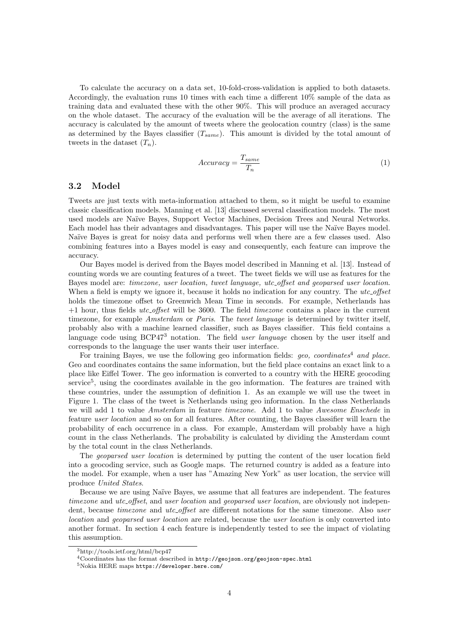To calculate the accuracy on a data set, 10-fold-cross-validation is applied to both datasets. Accordingly, the evaluation runs 10 times with each time a different 10% sample of the data as training data and evaluated these with the other 90%. This will produce an averaged accuracy on the whole dataset. The accuracy of the evaluation will be the average of all iterations. The accuracy is calculated by the amount of tweets where the geolocation country (class) is the same as determined by the Bayes classifier  $(T_{same})$ . This amount is divided by the total amount of tweets in the dataset  $(T_n)$ .

$$
Accuracy = \frac{T_{same}}{T_n} \tag{1}
$$

### 3.2 Model

Tweets are just texts with meta-information attached to them, so it might be useful to examine classic classification models. Manning et al. [13] discussed several classification models. The most used models are Na¨ıve Bayes, Support Vector Machines, Decision Trees and Neural Networks. Each model has their advantages and disadvantages. This paper will use the Naïve Bayes model. Naïve Bayes is great for noisy data and performs well when there are a few classes used. Also combining features into a Bayes model is easy and consequently, each feature can improve the accuracy.

Our Bayes model is derived from the Bayes model described in Manning et al. [13]. Instead of counting words we are counting features of a tweet. The tweet fields we will use as features for the Bayes model are: timezone, user location, tweet language, utc offset and geoparsed user location. When a field is empty we ignore it, because it holds no indication for any country. The utc\_offset holds the timezone offset to Greenwich Mean Time in seconds. For example, Netherlands has +1 hour, thus fields utc offset will be 3600. The field timezone contains a place in the current timezone, for example Amsterdam or Paris. The tweet language is determined by twitter itself, probably also with a machine learned classifier, such as Bayes classifier. This field contains a language code using  $BCP473$  notation. The field *user language* chosen by the user itself and corresponds to the language the user wants their user interface.

For training Bayes, we use the following geo information fields:  $qeo$ , coordinates<sup>4</sup> and place. Geo and coordinates contains the same information, but the field place contains an exact link to a place like Eiffel Tower. The geo information is converted to a country with the HERE geocoding service<sup>5</sup>, using the coordinates available in the geo information. The features are trained with these countries, under the assumption of definition 1. As an example we will use the tweet in Figure 1. The class of the tweet is Netherlands using geo information. In the class Netherlands we will add 1 to value Amsterdam in feature timezone. Add 1 to value Awesome Enschede in feature user location and so on for all features. After counting, the Bayes classifier will learn the probability of each occurrence in a class. For example, Amsterdam will probably have a high count in the class Netherlands. The probability is calculated by dividing the Amsterdam count by the total count in the class Netherlands.

The geoparsed user location is determined by putting the content of the user location field into a geocoding service, such as Google maps. The returned country is added as a feature into the model. For example, when a user has "Amazing New York" as user location, the service will produce United States.

Because we are using Naïve Bayes, we assume that all features are independent. The features timezone and utc<sub>-offset</sub>, and user location and geoparsed user location, are obviously not independent, because *timezone* and *utc\_offset* are different notations for the same timezone. Also user location and geoparsed user location are related, because the user location is only converted into another format. In section 4 each feature is independently tested to see the impact of violating this assumption.

<sup>3</sup>http://tools.ietf.org/html/bcp47

<sup>4</sup>Coordinates has the format described in http://geojson.org/geojson-spec.html

<sup>5</sup>Nokia HERE maps https://developer.here.com/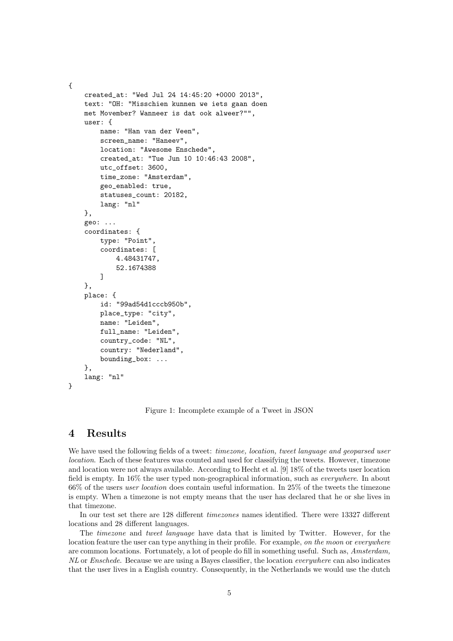```
created_at: "Wed Jul 24 14:45:20 +0000 2013",
text: "OH: "Misschien kunnen we iets gaan doen
met Movember? Wanneer is dat ook alweer?"",
user: {
    name: "Han van der Veen",
    screen_name: "Haneev",
    location: "Awesome Enschede",
    created_at: "Tue Jun 10 10:46:43 2008",
    utc_offset: 3600,
    time_zone: "Amsterdam",
    geo_enabled: true,
    statuses_count: 20182,
    lang: "nl"
},
geo: ...
coordinates: {
    type: "Point",
    coordinates: [
        4.48431747,
        52.1674388
    ]
},
place: {
    id: "99ad54d1cccb950b",
    place_type: "city",
    name: "Leiden",
    full_name: "Leiden",
    country_code: "NL",
    country: "Nederland",
    bounding_box: ...
},
lang: "nl"
```

```
}
```
{

Figure 1: Incomplete example of a Tweet in JSON

### 4 Results

We have used the following fields of a tweet: timezone, location, tweet language and geoparsed user location. Each of these features was counted and used for classifying the tweets. However, timezone and location were not always available. According to Hecht et al. [9] 18% of the tweets user location field is empty. In 16% the user typed non-geographical information, such as everywhere. In about 66% of the users user location does contain useful information. In 25% of the tweets the timezone is empty. When a timezone is not empty means that the user has declared that he or she lives in that timezone.

In our test set there are 128 different timezones names identified. There were 13327 different locations and 28 different languages.

The timezone and tweet language have data that is limited by Twitter. However, for the location feature the user can type anything in their profile. For example, on the moon or everywhere are common locations. Fortunately, a lot of people do fill in something useful. Such as, Amsterdam, NL or Enschede. Because we are using a Bayes classifier, the location everywhere can also indicates that the user lives in a English country. Consequently, in the Netherlands we would use the dutch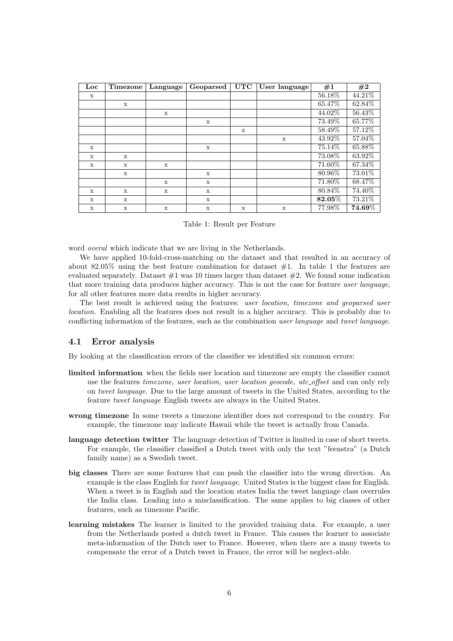| Loc         | Timezone    | Language    | Geoparsed | <b>UTC</b>   | User language | #1        | #2                     |
|-------------|-------------|-------------|-----------|--------------|---------------|-----------|------------------------|
| $\mathbf x$ |             |             |           |              |               | 56.18%    | 44.21\%                |
|             | X           |             |           |              |               | 65.47%    | 62.84%                 |
|             |             | $\mathbf x$ |           |              |               | 44.02%    | 56.43%                 |
|             |             |             | X         |              |               | 73.49%    | 65.77%                 |
|             |             |             |           | X            |               | 58.49%    | 57.12%                 |
|             |             |             |           |              | $\mathbf{x}$  | 43.92%    | 57.04%                 |
| X           |             |             | X         |              |               | 75.14%    | 65.88%                 |
| $\mathbf x$ | X           |             |           |              |               | 73.08%    | 63.92%                 |
| $\mathbf x$ | $\mathbf x$ | X           |           |              |               | 71.60%    | 67.34%                 |
|             | $\mathbf x$ |             | X         |              |               | 80.96%    | 73.01%                 |
|             |             | $\mathbf x$ | X         |              |               | $71.80\%$ | 68.47%                 |
| $\mathbf x$ | $\mathbf x$ | $\mathbf x$ | X         |              |               | 80.84\%   | 74.40%                 |
| $\mathbf x$ | $\mathbf x$ |             | X         |              |               | $82.05\%$ | 73.21%                 |
| X           | $\mathbf x$ | $\mathbf x$ | X         | $\mathbf{x}$ | $\mathbf x$   | 77.98%    | $\boldsymbol{74.69\%}$ |

Table 1: Result per Feature

word overal which indicate that we are living in the Netherlands.

We have applied 10-fold-cross-matching on the dataset and that resulted in an accuracy of about 82.05% using the best feature combination for dataset  $#1$ . In table 1 the features are evaluated separately. Dataset  $#1$  was 10 times larger than dataset  $#2$ . We found some indication that more training data produces higher accuracy. This is not the case for feature user language, for all other features more data results in higher accuracy.

The best result is achieved using the features: user location, timezone and geoparsed user location. Enabling all the features does not result in a higher accuracy. This is probably due to conflicting information of the features, such as the combination user language and tweet language.

#### 4.1 Error analysis

By looking at the classification errors of the classifier we identified six common errors:

- limited information when the fields user location and timezone are empty the classifier cannot use the features *timezone*, user location, user location geocode, utc<sub>-offset</sub> and can only rely on tweet language. Due to the large amount of tweets in the United States, according to the feature tweet language English tweets are always in the United States.
- wrong timezone In some tweets a timezone identifier does not correspond to the country. For example, the timezone may indicate Hawaii while the tweet is actually from Canada.
- language detection twitter The language detection of Twitter is limited in case of short tweets. For example, the classifier classified a Dutch tweet with only the text "feenstra" (a Dutch family name) as a Swedish tweet.
- big classes There are some features that can push the classifier into the wrong direction. An example is the class English for tweet language. United States is the biggest class for English. When a tweet is in English and the location states India the tweet language class overrules the India class. Leading into a misclassification. The same applies to big classes of other features, such as timezone Pacific.
- learning mistakes The learner is limited to the provided training data. For example, a user from the Netherlands posted a dutch tweet in France. This causes the learner to associate meta-information of the Dutch user to France. However, when there are a many tweets to compensate the error of a Dutch tweet in France, the error will be neglect-able.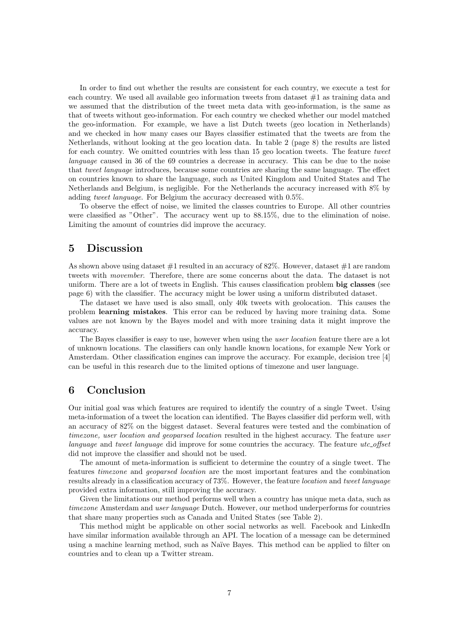In order to find out whether the results are consistent for each country, we execute a test for each country. We used all available geo information tweets from dataset #1 as training data and we assumed that the distribution of the tweet meta data with geo-information, is the same as that of tweets without geo-information. For each country we checked whether our model matched the geo-information. For example, we have a list Dutch tweets (geo location in Netherlands) and we checked in how many cases our Bayes classifier estimated that the tweets are from the Netherlands, without looking at the geo location data. In table 2 (page 8) the results are listed for each country. We omitted countries with less than 15 geo location tweets. The feature tweet language caused in 36 of the 69 countries a decrease in accuracy. This can be due to the noise that tweet language introduces, because some countries are sharing the same language. The effect on countries known to share the language, such as United Kingdom and United States and The Netherlands and Belgium, is negligible. For the Netherlands the accuracy increased with 8% by adding tweet language. For Belgium the accuracy decreased with 0.5%.

To observe the effect of noise, we limited the classes countries to Europe. All other countries were classified as "Other". The accuracy went up to 88.15%, due to the elimination of noise. Limiting the amount of countries did improve the accuracy.

### 5 Discussion

As shown above using dataset  $\#1$  resulted in an accuracy of 82%. However, dataset  $\#1$  are random tweets with movember. Therefore, there are some concerns about the data. The dataset is not uniform. There are a lot of tweets in English. This causes classification problem big classes (see page 6) with the classifier. The accuracy might be lower using a uniform distributed dataset.

The dataset we have used is also small, only 40k tweets with geolocation. This causes the problem learning mistakes. This error can be reduced by having more training data. Some values are not known by the Bayes model and with more training data it might improve the accuracy.

The Bayes classifier is easy to use, however when using the *user location* feature there are a lot of unknown locations. The classifiers can only handle known locations, for example New York or Amsterdam. Other classification engines can improve the accuracy. For example, decision tree [4] can be useful in this research due to the limited options of timezone and user language.

### 6 Conclusion

Our initial goal was which features are required to identify the country of a single Tweet. Using meta-information of a tweet the location can identified. The Bayes classifier did perform well, with an accuracy of 82% on the biggest dataset. Several features were tested and the combination of timezone, user location and geoparsed location resulted in the highest accuracy. The feature user language and tweet language did improve for some countries the accuracy. The feature utc\_offset did not improve the classifier and should not be used.

The amount of meta-information is sufficient to determine the country of a single tweet. The features timezone and geoparsed location are the most important features and the combination results already in a classification accuracy of 73%. However, the feature location and tweet language provided extra information, still improving the accuracy.

Given the limitations our method performs well when a country has unique meta data, such as timezone Amsterdam and user language Dutch. However, our method underperforms for countries that share many properties such as Canada and United States (see Table 2).

This method might be applicable on other social networks as well. Facebook and LinkedIn have similar information available through an API. The location of a message can be determined using a machine learning method, such as Naïve Bayes. This method can be applied to filter on countries and to clean up a Twitter stream.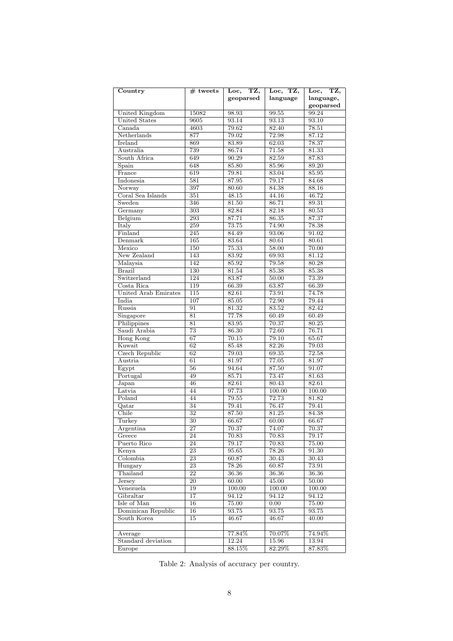| Country                        | $#$ tweets            | TZ,<br>Loc,    | Loc, TZ,       | TZ,<br>$_{\rm Loc,}$ |
|--------------------------------|-----------------------|----------------|----------------|----------------------|
|                                |                       | geoparsed      | language       | language,            |
|                                |                       |                |                | geoparsed            |
| United Kingdom                 | 15082                 | 98.93          | 99.55          | 99.24                |
| <b>United States</b><br>Canada | 9605                  | 93.14          | 93.13<br>82.40 | 93.10                |
| Netherlands                    | 4603                  | 79.62          | 72.98          | 78.51                |
| Ireland                        | 877<br>869            | 79.02<br>83.89 | 62.03          | 87.12<br>78.37       |
| Australia                      | 739                   | 86.74          | 71.58          | 81.33                |
| South Africa                   | 649                   | 90.29          | 82.59          | 87.83                |
| Spain                          | 648                   | 85.80          | 85.96          | 89.20                |
| France                         | 619                   | 79.81          | 83.04          | 85.95                |
| Indonesia                      | 581                   | 87.95          | 79.17          | 84.68                |
| Norway                         | 397                   | 80.60          | 84.38          | 88.16                |
| Coral Sea Islands              | 351                   | 48.15          | 44.16          | 46.72                |
| Sweden                         | 346                   | 81.50          | 86.71          | 89.31                |
| Germany                        | 303                   | 82.84          | 82.18          | 80.53                |
| Belgium                        | $\overline{293}$      | 87.71          | 86.35          | 87.37                |
| Italy                          | 259                   | 73.75          | 74.90          | 78.38                |
| Finland                        | 245                   | 84.49          | 93.06          | 91.02                |
| Denmark                        | 165                   | 83.64          | 80.61          | 80.61                |
| Mexico                         | 150                   | 75.33          | 58.00          | 70.00                |
| New Zealand                    | 143                   | 83.92          | 69.93          | 81.12                |
| Malaysia                       | 142                   | 85.92          | 79.58          | 80.28                |
| <b>Brazil</b>                  | 130                   | 81.54          | 85.38          | 85.38                |
| Switzerland                    | 124                   | 83.87          | 50.00          | 73.39                |
| Costa Rica                     | 119                   | 66.39          | 63.87          | 66.39                |
| United Arab Emirates           | 115                   | 82.61          | 73.91          | 74.78                |
| India                          | 107                   | 85.05          | 72.90          | 79.44                |
| Russia                         | 91                    | 81.32          | 83.52          | 82.42                |
| Singapore                      | 81                    | 77.78          | 60.49          | 60.49                |
| Philippines                    | 81                    | 83.95          | 70.37          | 80.25                |
| Saudi Arabia                   | $\overline{73}$       | 86.30          | 72.60          | 76.71                |
| Hong Kong                      | $\overline{67}$       | 70.15          | 79.10          | 65.67                |
| Kuwait                         | 62                    | 85.48          | 82.26          | 79.03                |
| Czech Republic                 | 62                    | 79.03          | 69.35          | 72.58                |
| Austria                        | 61                    | 81.97          | 77.05          | 81.97                |
| Egypt                          | 56                    | 94.64          | 87.50          | 91.07                |
| Portugal                       | 49                    | 85.71          | 73.47          | 81.63                |
| Japan                          | 46                    | 82.61          | 80.43          | 82.61                |
| Latvia                         | 44                    | 97.73          | 100.00         | 100.00               |
| Poland                         | 44                    | 79.55          | 72.73          | 81.82                |
| Qatar                          | $\overline{34}$       | 79.41          | 76.47          | 79.41                |
| Chile                          | $\overline{32}$       | 87.50          | 81.25          | 84.38                |
| Turkey                         | $\overline{30}$       | 66.67          | 60.00          | 66.67                |
| Argentina                      | $\overline{27}$       | 70.37          | 74.07          | 70.37                |
| Greece                         | 24                    | 70.83          | 70.83          | 79.17                |
| Puerto Rico                    | 24                    | 79.17          | 70.83          | 75.00                |
| Kenya                          | $\overline{23}$       | 95.65          | 78.26          | 91.30                |
| Colombia                       | $\overline{23}$       | 60.87          | 30.43          | 30.43                |
| Hungary<br>Thailand            | 23<br>$\overline{22}$ | 78.26          | 60.87          | 73.91                |
| Jersey                         | $\overline{20}$       | 36.36<br>60.00 | 36.36<br>45.00 | 36.36<br>50.00       |
| Venezuela                      | 19                    | 100.00         | 100.00         | 100.00               |
| Gibraltar                      | $\overline{17}$       | 94.12          | 94.12          | 94.12                |
| Isle of Man                    | $\overline{16}$       | 75.00          | 0.00           | 75.00                |
| Dominican Republic             | $\overline{16}$       | 93.75          | 93.75          | 93.75                |
| South Korea                    | 15                    | 46.67          | 46.67          | 40.00                |
|                                |                       |                |                |                      |
| Average                        |                       | 77.84%         | 70.07%         | 74.94%               |
| Standard deviation             |                       | 12.24          | 15.96          | 13.94                |
| Europe                         |                       | 88.15%         | 82.29%         | 87.83%               |
|                                |                       |                |                |                      |

Table 2: Analysis of accuracy per country.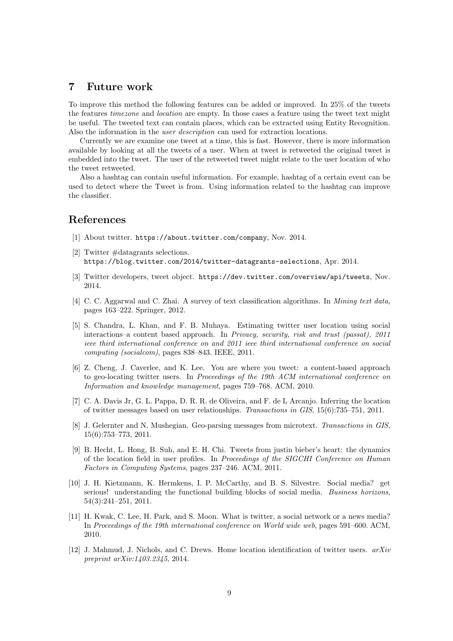## 7 Future work

To improve this method the following features can be added or improved. In 25% of the tweets the features timezone and location are empty. In those cases a feature using the tweet text might be useful. The tweeted text can contain places, which can be extracted using Entity Recognition. Also the information in the user description can used for extraction locations.

Currently we are examine one tweet at a time, this is fast. However, there is more information available by looking at all the tweets of a user. When at tweet is retweeted the original tweet is embedded into the tweet. The user of the retweeted tweet might relate to the user location of who the tweet retweeted.

Also a hashtag can contain useful information. For example, hashtag of a certain event can be used to detect where the Tweet is from. Using information related to the hashtag can improve the classifier.

### References

- [1] About twitter. https://about.twitter.com/company, Nov. 2014.
- [2] Twitter #datagrants selections. https://blog.twitter.com/2014/twitter-datagrants-selections, Apr. 2014.
- [3] Twitter developers, tweet object. https://dev.twitter.com/overview/api/tweets, Nov. 2014.
- [4] C. C. Aggarwal and C. Zhai. A survey of text classification algorithms. In *Mining text data*, pages 163–222. Springer, 2012.
- [5] S. Chandra, L. Khan, and F. B. Muhaya. Estimating twitter user location using social interactions–a content based approach. In Privacy, security, risk and trust (passat), 2011 ieee third international conference on and 2011 ieee third international conference on social computing (socialcom), pages 838–843. IEEE, 2011.
- [6] Z. Cheng, J. Caverlee, and K. Lee. You are where you tweet: a content-based approach to geo-locating twitter users. In Proceedings of the 19th ACM international conference on Information and knowledge management, pages 759–768. ACM, 2010.
- [7] C. A. Davis Jr, G. L. Pappa, D. R. R. de Oliveira, and F. de L Arcanjo. Inferring the location of twitter messages based on user relationships. Transactions in GIS, 15(6):735–751, 2011.
- [8] J. Gelernter and N. Mushegian. Geo-parsing messages from microtext. Transactions in GIS, 15(6):753–773, 2011.
- [9] B. Hecht, L. Hong, B. Suh, and E. H. Chi. Tweets from justin bieber's heart: the dynamics of the location field in user profiles. In Proceedings of the SIGCHI Conference on Human Factors in Computing Systems, pages 237–246. ACM, 2011.
- [10] J. H. Kietzmann, K. Hermkens, I. P. McCarthy, and B. S. Silvestre. Social media? get serious! understanding the functional building blocks of social media. Business horizons, 54(3):241–251, 2011.
- [11] H. Kwak, C. Lee, H. Park, and S. Moon. What is twitter, a social network or a news media? In Proceedings of the 19th international conference on World wide web, pages 591–600. ACM, 2010.
- [12] J. Mahmud, J. Nichols, and C. Drews. Home location identification of twitter users. arXiv preprint arXiv:1403.2345, 2014.